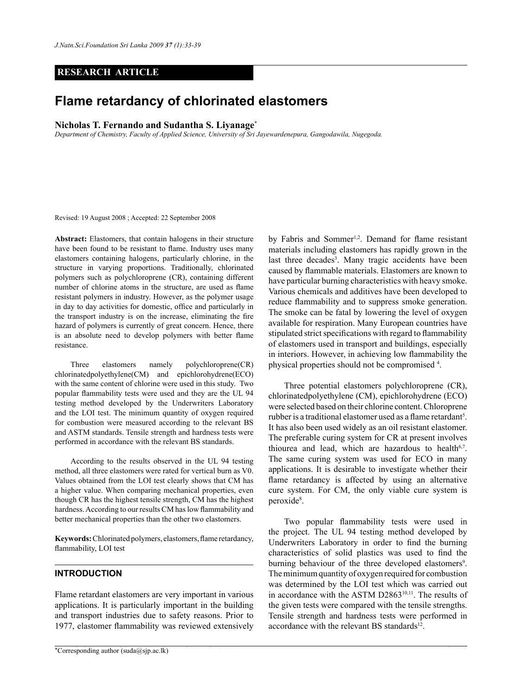# **RESEARCH ARTICLE**

# **Flame retardancy of chlorinated elastomers**

# **Nicholas T. Fernando and Sudantha S. Liyanage\***

*Department of Chemistry, Faculty of Applied Science, University of Sri Jayewardenepura, Gangodawila, Nugegoda.*

Revised: 19 August 2008 ; Accepted: 22 September 2008

**Abstract:** Elastomers, that contain halogens in their structure have been found to be resistant to flame. Industry uses many elastomers containing halogens, particularly chlorine, in the structure in varying proportions. Traditionally, chlorinated polymers such as polychloroprene (CR), containing different number of chlorine atoms in the structure, are used as flame resistant polymers in industry. However, as the polymer usage in day to day activities for domestic, office and particularly in the transport industry is on the increase, eliminating the fire hazard of polymers is currently of great concern. Hence, there is an absolute need to develop polymers with better flame resistance.

Three elastomers namely polychloroprene(CR) chlorinatedpolyethylene(CM) and epichlorohydrene(ECO) with the same content of chlorine were used in this study. Two popular flammability tests were used and they are the UL 94 testing method developed by the Underwriters Laboratory and the LOI test. The minimum quantity of oxygen required for combustion were measured according to the relevant BS and ASTM standards. Tensile strength and hardness tests were performed in accordance with the relevant BS standards.

According to the results observed in the UL 94 testing method, all three elastomers were rated for vertical burn as V0. Values obtained from the LOI test clearly shows that CM has a higher value. When comparing mechanical properties, even though CR has the highest tensile strength, CM has the highest hardness. According to our results CM has low flammability and better mechanical properties than the other two elastomers.

**Keywords:** Chlorinated polymers, elastomers, flame retardancy, flammability, LOI test

# **INTRODUCTION**

Flame retardant elastomers are very important in various applications. It is particularly important in the building and transport industries due to safety reasons. Prior to 1977, elastomer flammability was reviewed extensively by Fabris and Sommer<sup>1,2</sup>. Demand for flame resistant materials including elastomers has rapidly grown in the last three decades<sup>3</sup>. Many tragic accidents have been caused by flammable materials. Elastomers are known to have particular burning characteristics with heavy smoke. Various chemicals and additives have been developed to reduce flammability and to suppress smoke generation. The smoke can be fatal by lowering the level of oxygen available for respiration. Many European countries have stipulated strict specifications with regard to flammability of elastomers used in transport and buildings, especially in interiors. However, in achieving low flammability the physical properties should not be compromised 4 .

Three potential elastomers polychloroprene (CR), chlorinatedpolyethylene (CM), epichlorohydrene (ECO) were selected based on their chlorine content. Chloroprene rubber is a traditional elastomer used as a flame retardant<sup>5</sup>. It has also been used widely as an oil resistant elastomer. The preferable curing system for CR at present involves thiourea and lead, which are hazardous to health $6.7$ . The same curing system was used for ECO in many applications. It is desirable to investigate whether their flame retardancy is affected by using an alternative cure system. For CM, the only viable cure system is peroxide<sup>8</sup>.

Two popular flammability tests were used in the project. The UL 94 testing method developed by Underwriters Laboratory in order to find the burning characteristics of solid plastics was used to find the burning behaviour of the three developed elastomers<sup>9</sup>. The minimum quantity of oxygen required for combustion was determined by the LOI test which was carried out in accordance with the ASTM D286310,11. The results of the given tests were compared with the tensile strengths. Tensile strength and hardness tests were performed in accordance with the relevant BS standards $12$ .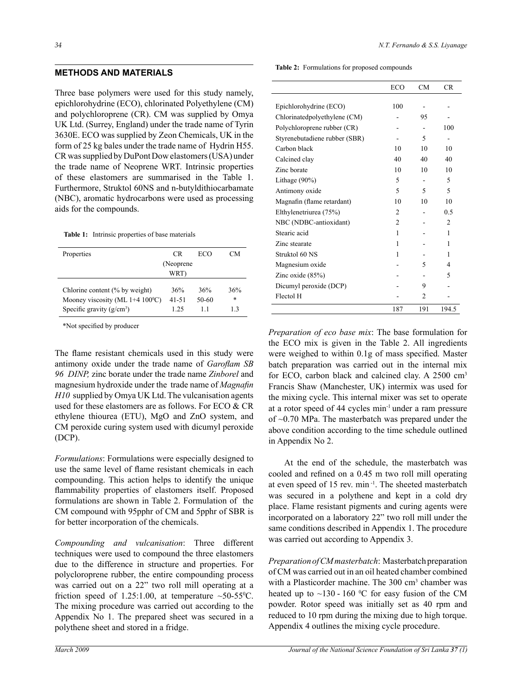# **METHODS AND MATERIALS**

Three base polymers were used for this study namely, epichlorohydrine (ECO), chlorinated Polyethylene (CM) and polychloroprene (CR). CM was supplied by Omya UK Ltd. (Surrey, England) under the trade name of Tyrin 3630E. ECO was supplied by Zeon Chemicals, UK in the form of 25 kg bales under the trade name of Hydrin H55. CR was supplied by DuPont Dow elastomers (USA) under the trade name of Neoprene WRT. Intrinsic properties of these elastomers are summarised in the Table 1. Furthermore, Struktol 60NS and n-butyldithiocarbamate (NBC), aromatic hydrocarbons were used as processing aids for the compounds.

**Table 1:** Intrinsic properties of base materials

| Properties                                     | CR.        | ECO   | CМ     |
|------------------------------------------------|------------|-------|--------|
|                                                | (Neoprene) |       |        |
|                                                | WRT)       |       |        |
| Chlorine content (% by weight)                 | 36%        | 36%   | 36%    |
| Mooney viscosity (ML $1+4$ 100 <sup>o</sup> C) | $41 - 51$  | 50-60 | $\ast$ |
| Specific gravity $(g/cm^3)$                    | 125        | 11    | 13     |

\*Not specified by producer

The flame resistant chemicals used in this study were antimony oxide under the trade name of *Garoflam SB 96 DINP,* zinc borate under the trade name *Zinborel* and magnesium hydroxide under the trade name of *Magnafin H10* supplied by Omya UK Ltd. The vulcanisation agents used for these elastomers are as follows. For ECO & CR ethylene thiourea (ETU), MgO and ZnO system, and CM peroxide curing system used with dicumyl peroxide (DCP).

*Formulations*: Formulations were especially designed to use the same level of flame resistant chemicals in each compounding. This action helps to identify the unique flammability properties of elastomers itself. Proposed formulations are shown in Table 2. Formulation of the CM compound with 95pphr of CM and 5pphr of SBR is for better incorporation of the chemicals.

*Compounding and vulcanisation*: Three different techniques were used to compound the three elastomers due to the difference in structure and properties. For polycloroprene rubber, the entire compounding process was carried out on a 22" two roll mill operating at a friction speed of 1.25:1.00, at temperature  $\sim$  50-55<sup>o</sup>C. The mixing procedure was carried out according to the Appendix No 1. The prepared sheet was secured in a polythene sheet and stored in a fridge.

 **Table 2:** Formulations for proposed compounds

|                               | <b>ECO</b>     | CM             | CR.            |
|-------------------------------|----------------|----------------|----------------|
| Epichlorohydrine (ECO)        | 100            |                |                |
| Chlorinatedpolyethylene (CM)  |                | 95             |                |
| Polychloroprene rubber (CR)   |                |                | 100            |
| Styrenebutadiene rubber (SBR) |                | 5              |                |
| Carbon black                  | 10             | 10             | 10             |
| Calcined clay                 | 40             | 40             | 40             |
| Zinc borate                   | 10             | 10             | 10             |
| Lithage (90%)                 | 5              |                | 5              |
| Antimony oxide                | 5              | 5              | 5              |
| Magnafin (flame retardant)    | 10             | 10             | 10             |
| Elthylenetriurea (75%)        | 2              |                | 0.5            |
| NBC (NDBC-antioxidant)        | $\overline{c}$ |                | $\mathfrak{D}$ |
| Stearic acid                  | 1              |                | 1              |
| Zinc stearate                 | 1              |                | 1              |
| Struktol 60 NS                | 1              |                | 1              |
| Magnesium oxide               |                | 5              | 4              |
| Zinc oxide $(85%)$            |                |                | 5              |
| Dicumyl peroxide (DCP)        |                | 9              |                |
| Flectol H                     |                | $\mathfrak{D}$ |                |
|                               | 187            | 191            | 194.5          |

*Preparation of eco base mix*: The base formulation for the ECO mix is given in the Table 2. All ingredients were weighed to within 0.1g of mass specified. Master batch preparation was carried out in the internal mix for ECO, carbon black and calcined clay. A 2500 cm3 Francis Shaw (Manchester, UK) intermix was used for the mixing cycle. This internal mixer was set to operate at a rotor speed of 44 cycles min-1 under a ram pressure of ~0.70 MPa. The masterbatch was prepared under the above condition according to the time schedule outlined in Appendix No 2.

At the end of the schedule, the masterbatch was cooled and refined on a 0.45 m two roll mill operating at even speed of 15 rev. min -1. The sheeted masterbatch was secured in a polythene and kept in a cold dry place. Flame resistant pigments and curing agents were incorporated on a laboratory 22" two roll mill under the same conditions described in Appendix 1. The procedure was carried out according to Appendix 3.

*Preparation of CM masterbatch*: Masterbatch preparation of CM was carried out in an oil heated chamber combined with a Plasticorder machine. The 300 cm<sup>3</sup> chamber was heated up to  $\sim$ 130 - 160 °C for easy fusion of the CM powder. Rotor speed was initially set as 40 rpm and reduced to 10 rpm during the mixing due to high torque. Appendix 4 outlines the mixing cycle procedure.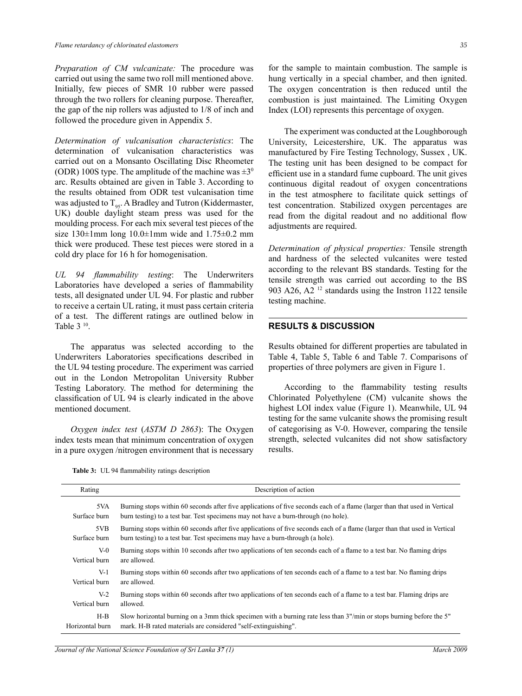*Preparation of CM vulcanizate:* The procedure was carried out using the same two roll mill mentioned above. Initially, few pieces of SMR 10 rubber were passed through the two rollers for cleaning purpose. Thereafter, the gap of the nip rollers was adjusted to 1/8 of inch and followed the procedure given in Appendix 5.

*Determination of vulcanisation characteristics*: The determination of vulcanisation characteristics was carried out on a Monsanto Oscillating Disc Rheometer (ODR) 100S type. The amplitude of the machine was  $\pm 3^{\circ}$ arc. Results obtained are given in Table 3. According to the results obtained from ODR test vulcanisation time was adjusted to  $T_{\text{qS}}$ . A Bradley and Tutron (Kiddermaster, UK) double daylight steam press was used for the moulding process. For each mix several test pieces of the size  $130\pm1$ mm long  $10.0\pm1$ mm wide and  $1.75\pm0.2$  mm thick were produced. These test pieces were stored in a cold dry place for 16 h for homogenisation.

*UL 94 flammability testing*: The Underwriters Laboratories have developed a series of flammability tests, all designated under UL 94. For plastic and rubber to receive a certain UL rating, it must pass certain criteria of a test. The different ratings are outlined below in Table 3 10.

The apparatus was selected according to the Underwriters Laboratories specifications described in the UL 94 testing procedure. The experiment was carried out in the London Metropolitan University Rubber Testing Laboratory. The method for determining the classification of UL 94 is clearly indicated in the above mentioned document.

*Oxygen index test* (*ASTM D 2863*): The Oxygen index tests mean that minimum concentration of oxygen in a pure oxygen /nitrogen environment that is necessary

for the sample to maintain combustion. The sample is hung vertically in a special chamber, and then ignited. The oxygen concentration is then reduced until the combustion is just maintained. The Limiting Oxygen Index (LOI) represents this percentage of oxygen.

The experiment was conducted at the Loughborough University, Leicestershire, UK. The apparatus was manufactured by Fire Testing Technology, Sussex , UK. The testing unit has been designed to be compact for efficient use in a standard fume cupboard. The unit gives continuous digital readout of oxygen concentrations in the test atmosphere to facilitate quick settings of test concentration. Stabilized oxygen percentages are read from the digital readout and no additional flow adjustments are required.

*Determination of physical properties:* Tensile strength and hardness of the selected vulcanites were tested according to the relevant BS standards. Testing for the tensile strength was carried out according to the BS 903 A26, A2 12 standards using the Instron 1122 tensile testing machine.

#### **RESULTS & DISCUSSION**

Results obtained for different properties are tabulated in Table 4, Table 5, Table 6 and Table 7. Comparisons of properties of three polymers are given in Figure 1.

According to the flammability testing results Chlorinated Polyethylene (CM) vulcanite shows the highest LOI index value (Figure 1). Meanwhile, UL 94 testing for the same vulcanite shows the promising result of categorising as V-0. However, comparing the tensile strength, selected vulcanites did not show satisfactory results.

**Table 3:** UL 94 flammability ratings description

| Rating          | Description of action                                                                                                      |
|-----------------|----------------------------------------------------------------------------------------------------------------------------|
| 5VA             | Burning stops within 60 seconds after five applications of five seconds each of a flame (larger than that used in Vertical |
| Surface burn    | burn testing) to a test bar. Test specimens may not have a burn-through (no hole).                                         |
| 5VB             | Burning stops within 60 seconds after five applications of five seconds each of a flame (larger than that used in Vertical |
| Surface burn    | burn testing) to a test bar. Test specimens may have a burn-through (a hole).                                              |
| $V-0$           | Burning stops within 10 seconds after two applications of ten seconds each of a flame to a test bar. No flaming drips      |
| Vertical burn   | are allowed.                                                                                                               |
| $V-1$           | Burning stops within 60 seconds after two applications of ten seconds each of a flame to a test bar. No flaming drips      |
| Vertical burn   | are allowed.                                                                                                               |
| $V-2$           | Burning stops within 60 seconds after two applications of ten seconds each of a flame to a test bar. Flaming drips are     |
| Vertical burn   | allowed.                                                                                                                   |
| $H-B$           | Slow horizontal burning on a 3mm thick specimen with a burning rate less than 3"/min or stops burning before the 5"        |
| Horizontal burn | mark. H-B rated materials are considered "self-extinguishing".                                                             |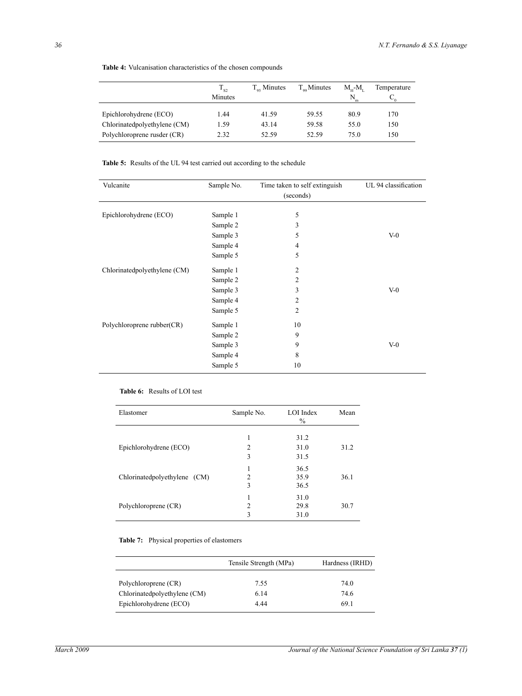|                              | $1_{S2}$<br>Minutes | $T_{\alpha}$ Minutes | $T_{\infty}$ Minutes | $M_{\rm tr}$ - $M_{\rm r}$<br>N | Temperature |
|------------------------------|---------------------|----------------------|----------------------|---------------------------------|-------------|
| Epichlorohydrene (ECO)       | 1.44                | 41.59                | 59.55                | 80.9                            | 170         |
| Chlorinatedpolyethylene (CM) | 1.59                | 43.14                | 59.58                | 55.0                            | 150         |
| Polychloroprene rusder (CR)  | 2.32                | 52.59                | 52.59                | 75.0                            | 150         |

**Table 4:** Vulcanisation characteristics of the chosen compounds

**Table 5:** Results of the UL 94 test carried out according to the schedule

| Vulcanite                    | Sample No. | Time taken to self extinguish | UL 94 classification |
|------------------------------|------------|-------------------------------|----------------------|
|                              |            | (seconds)                     |                      |
| Epichlorohydrene (ECO)       | Sample 1   | 5                             |                      |
|                              | Sample 2   | 3                             |                      |
|                              | Sample 3   | 5                             | $V-0$                |
|                              | Sample 4   | 4                             |                      |
|                              | Sample 5   | 5                             |                      |
| Chlorinatedpolyethylene (CM) | Sample 1   | $\overline{2}$                |                      |
|                              | Sample 2   | 2                             |                      |
|                              | Sample 3   | 3                             | $V-0$                |
|                              | Sample 4   | $\overline{2}$                |                      |
|                              | Sample 5   | $\overline{2}$                |                      |
| Polychloroprene rubber(CR)   | Sample 1   | 10                            |                      |
|                              | Sample 2   | 9                             |                      |
|                              | Sample 3   | 9                             | $V-0$                |
|                              | Sample 4   | 8                             |                      |
|                              | Sample 5   | 10                            |                      |

#### **Table 6:** Results of LOI test

| Elastomer                    | Sample No.     | LOI Index<br>$\frac{0}{0}$ | Mean |
|------------------------------|----------------|----------------------------|------|
|                              |                | 31.2                       |      |
| Epichlorohydrene (ECO)       | 2              | 31.0                       | 31.2 |
|                              | 3              | 31.5                       |      |
|                              |                | 36.5                       |      |
| Chlorinatedpolyethylene (CM) | 2              | 35.9                       | 36.1 |
|                              | 3              | 36.5                       |      |
|                              |                | 31.0                       |      |
| Polychloroprene (CR)         | $\overline{c}$ | 29.8                       | 30.7 |
|                              | 3              | 31.0                       |      |

#### **Table 7:** Physical properties of elastomers

|                              | Tensile Strength (MPa) | Hardness (IRHD) |
|------------------------------|------------------------|-----------------|
| Polychloroprene (CR)         | 7.55                   | 74.0            |
| Chlorinatedpolyethylene (CM) | 6.14                   | 74.6            |
| Epichlorohydrene (ECO)       | 4 44                   | 69.1            |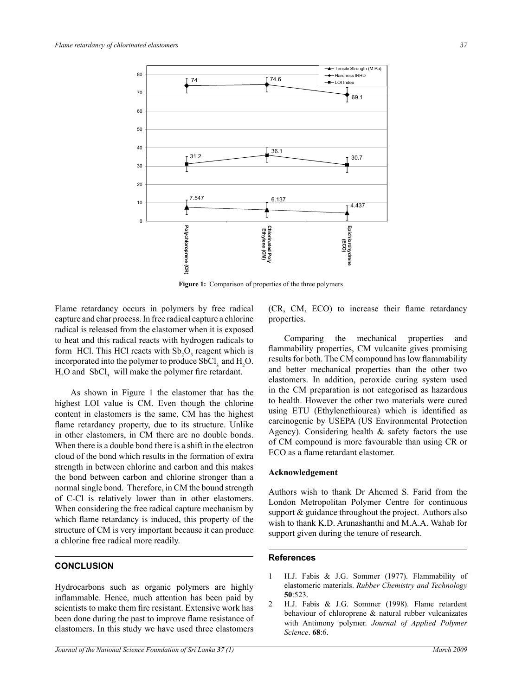

**Figure 1:** Comparison of properties of the three polymers

Flame retardancy occurs in polymers by free radical capture and char process. In free radical capture a chlorine radical is released from the elastomer when it is exposed to heat and this radical reacts with hydrogen radicals to form HCl. This HCl reacts with  $Sb_2O_3$  reagent which is incorporated into the polymer to produce  $SbCl<sub>3</sub>$  and  $H<sub>2</sub>O$ .  $H_2O$  and  $SbCl_3$  will make the polymer fire retardant.

As shown in Figure 1 the elastomer that has the highest LOI value is CM. Even though the chlorine content in elastomers is the same, CM has the highest flame retardancy property, due to its structure. Unlike in other elastomers, in CM there are no double bonds. When there is a double bond there is a shift in the electron cloud of the bond which results in the formation of extra strength in between chlorine and carbon and this makes the bond between carbon and chlorine stronger than a normal single bond. Therefore, in CM the bound strength of C-Cl is relatively lower than in other elastomers. When considering the free radical capture mechanism by which flame retardancy is induced, this property of the structure of CM is very important because it can produce a chlorine free radical more readily.

# **CONCLUSION**

Hydrocarbons such as organic polymers are highly inflammable. Hence, much attention has been paid by scientists to make them fire resistant. Extensive work has been done during the past to improve flame resistance of elastomers. In this study we have used three elastomers

(CR, CM, ECO) to increase their flame retardancy properties.

Comparing the mechanical properties and flammability properties, CM vulcanite gives promising results for both. The CM compound has low flammability and better mechanical properties than the other two elastomers. In addition, peroxide curing system used in the CM preparation is not categorised as hazardous to health. However the other two materials were cured using ETU (Ethylenethiourea) which is identified as carcinogenic by USEPA (US Environmental Protection Agency). Considering health & safety factors the use of CM compound is more favourable than using CR or ECO as a flame retardant elastomer.

#### **Acknowledgement**

Authors wish to thank Dr Ahemed S. Farid from the London Metropolitan Polymer Centre for continuous support & guidance throughout the project. Authors also wish to thank K.D. Arunashanthi and M.A.A. Wahab for support given during the tenure of research.

#### **References**

- 1 H.J. Fabis & J.G. Sommer (1977). Flammability of elastomeric materials. *Rubber Chemistry and Technology* **50**:523.
- 2 H.J. Fabis & J.G. Sommer (1998). Flame retardent behaviour of chloroprene & natural rubber vulcanizates with Antimony polymer. *Journal of Applied Polymer Science*. **68**:6.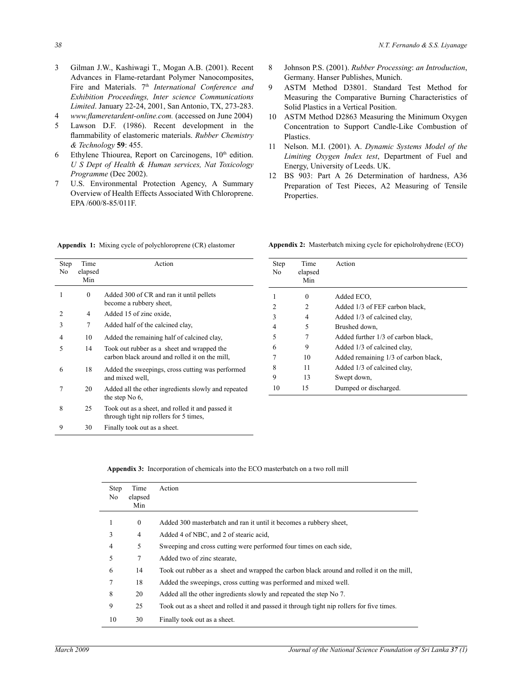- 3 Gilman J.W., Kashiwagi T., Mogan A.B. (2001). Recent Advances in Flame-retardant Polymer Nanocomposites, Fire and Materials. 7<sup>th</sup> *International Conference and Exhibition Proceedings, Inter science Communications Limited*. January 22-24, 2001, San Antonio, TX, 273-283.
- 4 *www.flameretardent-online.com.* (accessed on June 2004)
- 5 Lawson D.F. (1986). Recent development in the flammability of elastomeric materials. *Rubber Chemistry & Technology* **59**: 455.
- 6 Ethylene Thiourea, Report on Carcinogens,  $10<sup>th</sup>$  edition. *U S Dept of Health & Human services, Nat Toxicology Programme* (Dec 2002).
- 7 U.S. Environmental Protection Agency, A Summary Overview of Health Effects Associated With Chloroprene. EPA /600/8-85/011F.

Step Time Action No elapsed Min 1 0 Added 300 of CR and ran it until pellets become a rubbery sheet, 2 4 Added 15 of zinc oxide, 3 7 Added half of the calcined clay, 4 10 Added the remaining half of calcined clay, 5 14 Took out rubber as a sheet and wrapped the carbon black around and rolled it on the mill, 6 18 Added the sweepings, cross cutting was performed and mixed well, 7 20 Added all the other ingredients slowly and repeated the step No 6, 8 25 Took out as a sheet, and rolled it and passed it through tight nip rollers for 5 times, 9 30 Finally took out as a sheet.

8 Johnson P.S. (2001). *Rubber Processing*: *an Introduction*, Germany. Hanser Publishes, Munich.

- 9 ASTM Method D3801. Standard Test Method for Measuring the Comparative Burning Characteristics of Solid Plastics in a Vertical Position.
- 10 ASTM Method D2863 Measuring the Minimum Oxygen Concentration to Support Candle-Like Combustion of Plastics.
- 11 Nelson. M.I. (2001). A. *Dynamic Systems Model of the Limiting Oxygen Index test*, Department of Fuel and Energy, University of Leeds. UK.
- 12 BS 903: Part A 26 Determination of hardness, A36 Preparation of Test Pieces, A2 Measuring of Tensile Properties.

**Appendix 1:** Mixing cycle of polychloroprene (CR) elastomer **Appendix 2:** Masterbatch mixing cycle for epicholrohydrene (ECO)

| Step<br>No.    | Time<br>elapsed<br>Min | Action                               |
|----------------|------------------------|--------------------------------------|
|                |                        |                                      |
|                | 0                      | Added ECO.                           |
| 2              | 2                      | Added 1/3 of FEF carbon black,       |
| 3              | 4                      | Added 1/3 of calcined clay,          |
| $\overline{4}$ | 5                      | Brushed down,                        |
| 5              | 7                      | Added further 1/3 of carbon black,   |
| 6              | 9                      | Added 1/3 of calcined clay,          |
| 7              | 10                     | Added remaining 1/3 of carbon black, |
| 8              | 11                     | Added 1/3 of calcined clay,          |
| 9              | 13                     | Swept down,                          |
| 10             | 15                     | Dumped or discharged.                |

**Appendix 3:** Incorporation of chemicals into the ECO masterbatch on a two roll mill

| Step<br>No | Time<br>elapsed<br>Min | Action                                                                                    |
|------------|------------------------|-------------------------------------------------------------------------------------------|
|            | $\mathbf{0}$           | Added 300 masterbatch and ran it until it becomes a rubbery sheet.                        |
| 3          | 4                      | Added 4 of NBC, and 2 of stearic acid,                                                    |
| 4          | 5                      | Sweeping and cross cutting were performed four times on each side,                        |
| 5          | 7                      | Added two of zinc stearate,                                                               |
| 6          | 14                     | Took out rubber as a sheet and wrapped the carbon black around and rolled it on the mill, |
|            | 18                     | Added the sweepings, cross cutting was performed and mixed well.                          |
| 8          | 20                     | Added all the other ingredients slowly and repeated the step No 7.                        |
| 9          | 25                     | Took out as a sheet and rolled it and passed it through tight nip rollers for five times. |
| 10         | 30                     | Finally took out as a sheet.                                                              |